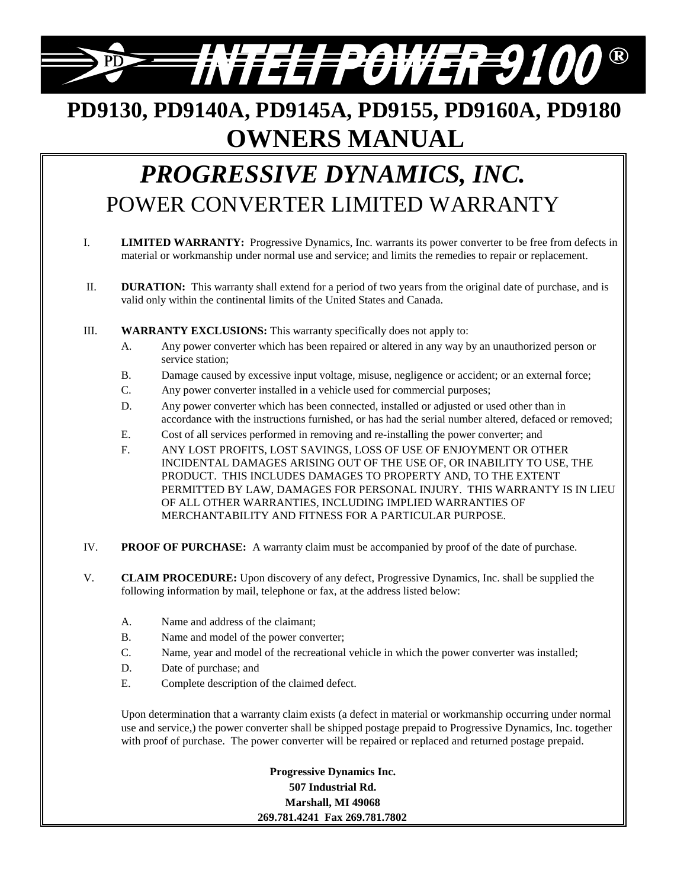# *=##FEEFF@WER=9100* ®

# **PD9130, PD9140A, PD9145A, PD9155, PD9160A, PD9180 OWNERS MANUAL**

# *PROGRESSIVE DYNAMICS, INC.* POWER CONVERTER LIMITED WARRANTY

- I. **LIMITED WARRANTY:** Progressive Dynamics, Inc. warrants its power converter to be free from defects in material or workmanship under normal use and service; and limits the remedies to repair or replacement.
- II. **DURATION:** This warranty shall extend for a period of two years from the original date of purchase, and is valid only within the continental limits of the United States and Canada.
- III. **WARRANTY EXCLUSIONS:** This warranty specifically does not apply to:
	- A. Any power converter which has been repaired or altered in any way by an unauthorized person or service station;
	- B. Damage caused by excessive input voltage, misuse, negligence or accident; or an external force;
	- C. Any power converter installed in a vehicle used for commercial purposes;
	- D. Any power converter which has been connected, installed or adjusted or used other than in accordance with the instructions furnished, or has had the serial number altered, defaced or removed;
	- E. Cost of all services performed in removing and re-installing the power converter; and
	- F. ANY LOST PROFITS, LOST SAVINGS, LOSS OF USE OF ENJOYMENT OR OTHER INCIDENTAL DAMAGES ARISING OUT OF THE USE OF, OR INABILITY TO USE, THE PRODUCT. THIS INCLUDES DAMAGES TO PROPERTY AND, TO THE EXTENT PERMITTED BY LAW, DAMAGES FOR PERSONAL INJURY. THIS WARRANTY IS IN LIEU OF ALL OTHER WARRANTIES, INCLUDING IMPLIED WARRANTIES OF MERCHANTABILITY AND FITNESS FOR A PARTICULAR PURPOSE.
- IV. **PROOF OF PURCHASE:** A warranty claim must be accompanied by proof of the date of purchase.
- V. **CLAIM PROCEDURE:** Upon discovery of any defect, Progressive Dynamics, Inc. shall be supplied the following information by mail, telephone or fax, at the address listed below:
	- A. Name and address of the claimant;
	- B. Name and model of the power converter;
	- C. Name, year and model of the recreational vehicle in which the power converter was installed;
	- D. Date of purchase; and
	- E. Complete description of the claimed defect.

Upon determination that a warranty claim exists (a defect in material or workmanship occurring under normal use and service,) the power converter shall be shipped postage prepaid to Progressive Dynamics, Inc. together with proof of purchase. The power converter will be repaired or replaced and returned postage prepaid.

> **Progressive Dynamics Inc. 507 Industrial Rd. Marshall, MI 49068 269.781.4241 Fax 269.781.7802**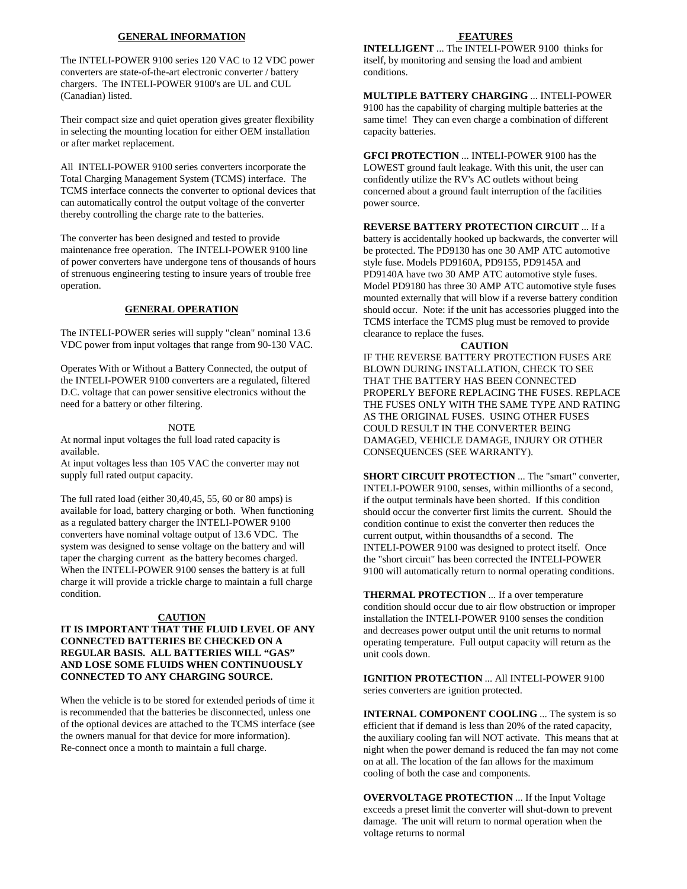#### **GENERAL INFORMATION**

The INTELI-POWER 9100 series 120 VAC to 12 VDC power converters are state-of-the-art electronic converter / battery chargers. The INTELI-POWER 9100's are UL and CUL (Canadian) listed.

Their compact size and quiet operation gives greater flexibility in selecting the mounting location for either OEM installation or after market replacement.

All INTELI-POWER 9100 series converters incorporate the Total Charging Management System (TCMS) interface. The TCMS interface connects the converter to optional devices that can automatically control the output voltage of the converter thereby controlling the charge rate to the batteries.

The converter has been designed and tested to provide maintenance free operation. The INTELI-POWER 9100 line of power converters have undergone tens of thousands of hours of strenuous engineering testing to insure years of trouble free operation.

#### **GENERAL OPERATION**

The INTELI-POWER series will supply "clean" nominal 13.6 VDC power from input voltages that range from 90-130 VAC.

Operates With or Without a Battery Connected, the output of the INTELI-POWER 9100 converters are a regulated, filtered D.C. voltage that can power sensitive electronics without the need for a battery or other filtering.

#### NOTE

At normal input voltages the full load rated capacity is available.

At input voltages less than 105 VAC the converter may not supply full rated output capacity.

The full rated load (either 30,40,45, 55, 60 or 80 amps) is available for load, battery charging or both. When functioning as a regulated battery charger the INTELI-POWER 9100 converters have nominal voltage output of 13.6 VDC. The system was designed to sense voltage on the battery and will taper the charging current as the battery becomes charged. When the INTELI-POWER 9100 senses the battery is at full charge it will provide a trickle charge to maintain a full charge condition.

#### **CAUTION**

#### **IT IS IMPORTANT THAT THE FLUID LEVEL OF ANY CONNECTED BATTERIES BE CHECKED ON A REGULAR BASIS. ALL BATTERIES WILL "GAS" AND LOSE SOME FLUIDS WHEN CONTINUOUSLY CONNECTED TO ANY CHARGING SOURCE.**

When the vehicle is to be stored for extended periods of time it is recommended that the batteries be disconnected, unless one of the optional devices are attached to the TCMS interface (see the owners manual for that device for more information). Re-connect once a month to maintain a full charge.

#### **FEATURES**

**INTELLIGENT** ... The INTELI-POWER 9100 thinks for itself, by monitoring and sensing the load and ambient conditions.

**MULTIPLE BATTERY CHARGING** ... INTELI-POWER 9100 has the capability of charging multiple batteries at the same time! They can even charge a combination of different capacity batteries.

**GFCI PROTECTION** ... INTELI-POWER 9100 has the LOWEST ground fault leakage. With this unit, the user can confidently utilize the RV's AC outlets without being concerned about a ground fault interruption of the facilities power source.

**REVERSE BATTERY PROTECTION CIRCUIT** ... If a battery is accidentally hooked up backwards, the converter will be protected. The PD9130 has one 30 AMP ATC automotive style fuse. Models PD9160A, PD9155, PD9145A and PD9140A have two 30 AMP ATC automotive style fuses. Model PD9180 has three 30 AMP ATC automotive style fuses mounted externally that will blow if a reverse battery condition should occur. Note: if the unit has accessories plugged into the TCMS interface the TCMS plug must be removed to provide clearance to replace the fuses.

#### **CAUTION**

IF THE REVERSE BATTERY PROTECTION FUSES ARE BLOWN DURING INSTALLATION, CHECK TO SEE THAT THE BATTERY HAS BEEN CONNECTED PROPERLY BEFORE REPLACING THE FUSES. REPLACE THE FUSES ONLY WITH THE SAME TYPE AND RATING AS THE ORIGINAL FUSES. USING OTHER FUSES COULD RESULT IN THE CONVERTER BEING DAMAGED, VEHICLE DAMAGE, INJURY OR OTHER CONSEQUENCES (SEE WARRANTY).

**SHORT CIRCUIT PROTECTION** ... The "smart" converter, INTELI-POWER 9100, senses, within millionths of a second, if the output terminals have been shorted. If this condition should occur the converter first limits the current. Should the condition continue to exist the converter then reduces the current output, within thousandths of a second. The INTELI-POWER 9100 was designed to protect itself. Once the "short circuit" has been corrected the INTELI-POWER 9100 will automatically return to normal operating conditions.

**THERMAL PROTECTION** ... If a over temperature condition should occur due to air flow obstruction or improper installation the INTELI-POWER 9100 senses the condition and decreases power output until the unit returns to normal operating temperature. Full output capacity will return as the unit cools down.

**IGNITION PROTECTION** ... All INTELI-POWER 9100 series converters are ignition protected.

**INTERNAL COMPONENT COOLING** ... The system is so efficient that if demand is less than 20% of the rated capacity, the auxiliary cooling fan will NOT activate. This means that at night when the power demand is reduced the fan may not come on at all. The location of the fan allows for the maximum cooling of both the case and components.

**OVERVOLTAGE PROTECTION** ... If the Input Voltage exceeds a preset limit the converter will shut-down to prevent damage. The unit will return to normal operation when the voltage returns to normal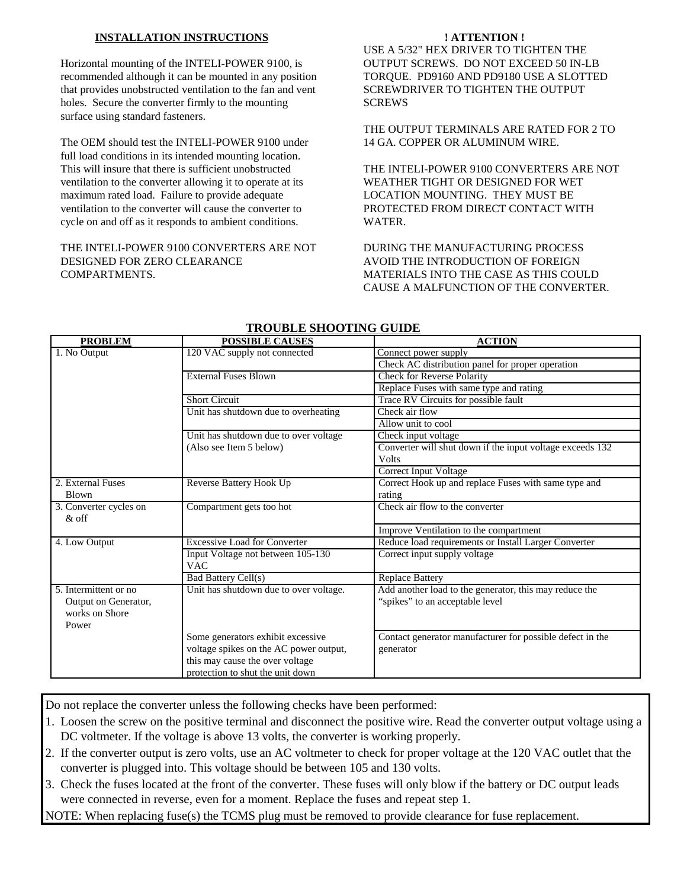# **INSTALLATION INSTRUCTIONS**

Horizontal mounting of the INTELI-POWER 9100, is recommended although it can be mounted in any position that provides unobstructed ventilation to the fan and vent holes. Secure the converter firmly to the mounting surface using standard fasteners.

The OEM should test the INTELI-POWER 9100 under full load conditions in its intended mounting location. This will insure that there is sufficient unobstructed ventilation to the converter allowing it to operate at its maximum rated load. Failure to provide adequate ventilation to the converter will cause the converter to cycle on and off as it responds to ambient conditions.

# THE INTELI-POWER 9100 CONVERTERS ARE NOT DESIGNED FOR ZERO CLEARANCE COMPARTMENTS.

## **! ATTENTION !**

USE A 5/32" HEX DRIVER TO TIGHTEN THE OUTPUT SCREWS. DO NOT EXCEED 50 IN-LB TORQUE. PD9160 AND PD9180 USE A SLOTTED SCREWDRIVER TO TIGHTEN THE OUTPUT SCREWS

THE OUTPUT TERMINALS ARE RATED FOR 2 TO 14 GA. COPPER OR ALUMINUM WIRE.

THE INTELI-POWER 9100 CONVERTERS ARE NOT WEATHER TIGHT OR DESIGNED FOR WET LOCATION MOUNTING. THEY MUST BE PROTECTED FROM DIRECT CONTACT WITH WATER.

DURING THE MANUFACTURING PROCESS AVOID THE INTRODUCTION OF FOREIGN MATERIALS INTO THE CASE AS THIS COULD CAUSE A MALFUNCTION OF THE CONVERTER.

| <b>TROODLE SHOOTING GOIDE</b> |                                        |                                                           |
|-------------------------------|----------------------------------------|-----------------------------------------------------------|
| <b>PROBLEM</b>                | <b>POSSIBLE CAUSES</b>                 | <b>ACTION</b>                                             |
| 1. No Output                  | 120 VAC supply not connected           | Connect power supply                                      |
|                               |                                        | Check AC distribution panel for proper operation          |
|                               | <b>External Fuses Blown</b>            | <b>Check for Reverse Polarity</b>                         |
|                               |                                        | Replace Fuses with same type and rating                   |
|                               | <b>Short Circuit</b>                   | Trace RV Circuits for possible fault                      |
|                               | Unit has shutdown due to overheating   | Check air flow                                            |
|                               |                                        | Allow unit to cool                                        |
|                               | Unit has shutdown due to over voltage  | Check input voltage                                       |
|                               | (Also see Item 5 below)                | Converter will shut down if the input voltage exceeds 132 |
|                               |                                        | <b>Volts</b>                                              |
|                               |                                        | <b>Correct Input Voltage</b>                              |
| 2. External Fuses             | Reverse Battery Hook Up                | Correct Hook up and replace Fuses with same type and      |
| <b>Blown</b>                  |                                        | rating                                                    |
| 3. Converter cycles on        | Compartment gets too hot               | Check air flow to the converter                           |
| $\&$ off                      |                                        |                                                           |
|                               |                                        | Improve Ventilation to the compartment                    |
| 4. Low Output                 | <b>Excessive Load for Converter</b>    | Reduce load requirements or Install Larger Converter      |
|                               | Input Voltage not between 105-130      | Correct input supply voltage                              |
|                               | <b>VAC</b>                             |                                                           |
|                               | <b>Bad Battery Cell(s)</b>             | <b>Replace Battery</b>                                    |
| 5. Intermittent or no.        | Unit has shutdown due to over voltage. | Add another load to the generator, this may reduce the    |
| Output on Generator,          |                                        | "spikes" to an acceptable level                           |
| works on Shore                |                                        |                                                           |
| Power                         |                                        |                                                           |
|                               | Some generators exhibit excessive      | Contact generator manufacturer for possible defect in the |
|                               | voltage spikes on the AC power output, | generator                                                 |
|                               | this may cause the over voltage        |                                                           |
|                               | protection to shut the unit down       |                                                           |

# **TROUBLE SHOOTING GUIDE**

Do not replace the converter unless the following checks have been performed:

- 1. Loosen the screw on the positive terminal and disconnect the positive wire. Read the converter output voltage using a DC voltmeter. If the voltage is above 13 volts, the converter is working properly.
- 2. If the converter output is zero volts, use an AC voltmeter to check for proper voltage at the 120 VAC outlet that the converter is plugged into. This voltage should be between 105 and 130 volts.
- 3. Check the fuses located at the front of the converter. These fuses will only blow if the battery or DC output leads were connected in reverse, even for a moment. Replace the fuses and repeat step 1.

NOTE: When replacing fuse(s) the TCMS plug must be removed to provide clearance for fuse replacement.